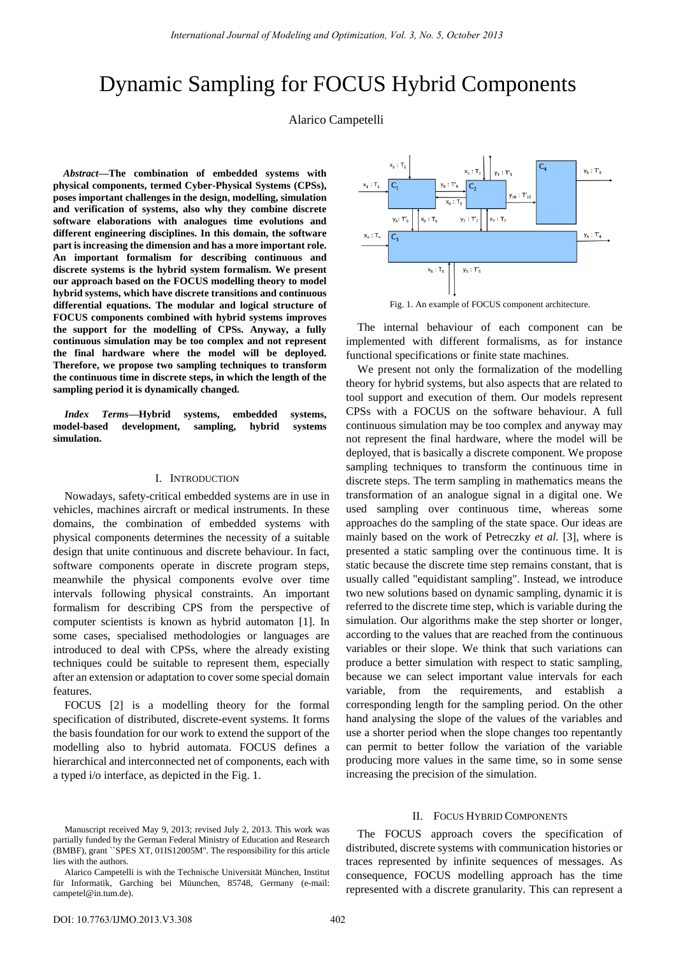# Dynamic Sampling for FOCUS Hybrid Components

Alarico Campetelli

*Abstract***—The combination of embedded systems with physical components, termed Cyber-Physical Systems (CPSs), poses important challenges in the design, modelling, simulation and verification of systems, also why they combine discrete software elaborations with analogues time evolutions and different engineering disciplines. In this domain, the software part is increasing the dimension and has a more important role. An important formalism for describing continuous and discrete systems is the hybrid system formalism. We present our approach based on the FOCUS modelling theory to model hybrid systems, which have discrete transitions and continuous differential equations. The modular and logical structure of FOCUS components combined with hybrid systems improves the support for the modelling of CPSs. Anyway, a fully continuous simulation may be too complex and not represent the final hardware where the model will be deployed. Therefore, we propose two sampling techniques to transform the continuous time in discrete steps, in which the length of the sampling period it is dynamically changed.** 

*Index Terms***—Hybrid systems, embedded systems, model-based development, sampling, hybrid systems simulation.** 

#### I. INTRODUCTION

Nowadays, safety-critical embedded systems are in use in vehicles, machines aircraft or medical instruments. In these domains, the combination of embedded systems with physical components determines the necessity of a suitable design that unite continuous and discrete behaviour. In fact, software components operate in discrete program steps, meanwhile the physical components evolve over time intervals following physical constraints. An important formalism for describing CPS from the perspective of computer scientists is known as hybrid automaton [1]. In some cases, specialised methodologies or languages are introduced to deal with CPSs, where the already existing techniques could be suitable to represent them, especially after an extension or adaptation to cover some special domain features.

FOCUS [2] is a modelling theory for the formal specification of distributed, discrete-event systems. It forms the basis foundation for our work to extend the support of the modelling also to hybrid automata. FOCUS defines a hierarchical and interconnected net of components, each with a typed i/o interface, as depicted in the Fig. 1.



Fig. 1. An example of FOCUS component architecture.

The internal behaviour of each component can be implemented with different formalisms, as for instance functional specifications or finite state machines.

We present not only the formalization of the modelling theory for hybrid systems, but also aspects that are related to tool support and execution of them. Our models represent CPSs with a FOCUS on the software behaviour. A full continuous simulation may be too complex and anyway may not represent the final hardware, where the model will be deployed, that is basically a discrete component. We propose sampling techniques to transform the continuous time in discrete steps. The term sampling in mathematics means the transformation of an analogue signal in a digital one. We used sampling over continuous time, whereas some approaches do the sampling of the state space. Our ideas are mainly based on the work of Petreczky *et al.* [3], where is presented a static sampling over the continuous time. It is static because the discrete time step remains constant, that is usually called "equidistant sampling". Instead, we introduce two new solutions based on dynamic sampling, dynamic it is referred to the discrete time step, which is variable during the simulation. Our algorithms make the step shorter or longer, according to the values that are reached from the continuous variables or their slope. We think that such variations can produce a better simulation with respect to static sampling, because we can select important value intervals for each variable, from the requirements, and establish a corresponding length for the sampling period. On the other hand analysing the slope of the values of the variables and use a shorter period when the slope changes too repentantly can permit to better follow the variation of the variable producing more values in the same time, so in some sense increasing the precision of the simulation.

#### II. FOCUS HYBRID COMPONENTS

The FOCUS approach covers the specification of distributed, discrete systems with communication histories or traces represented by infinite sequences of messages. As consequence, FOCUS modelling approach has the time represented with a discrete granularity. This can represent a

Manuscript received May 9, 2013; revised July 2, 2013. This work was partially funded by the German Federal Ministry of Education and Research (BMBF), grant ``SPES XT, 01IS12005M''. The responsibility for this article lies with the authors.

Alarico Campetelli is with the Technische Universität München, Institut für Informatik, Garching bei Müunchen, 85748, Germany (e-mail: campetel@in.tum.de).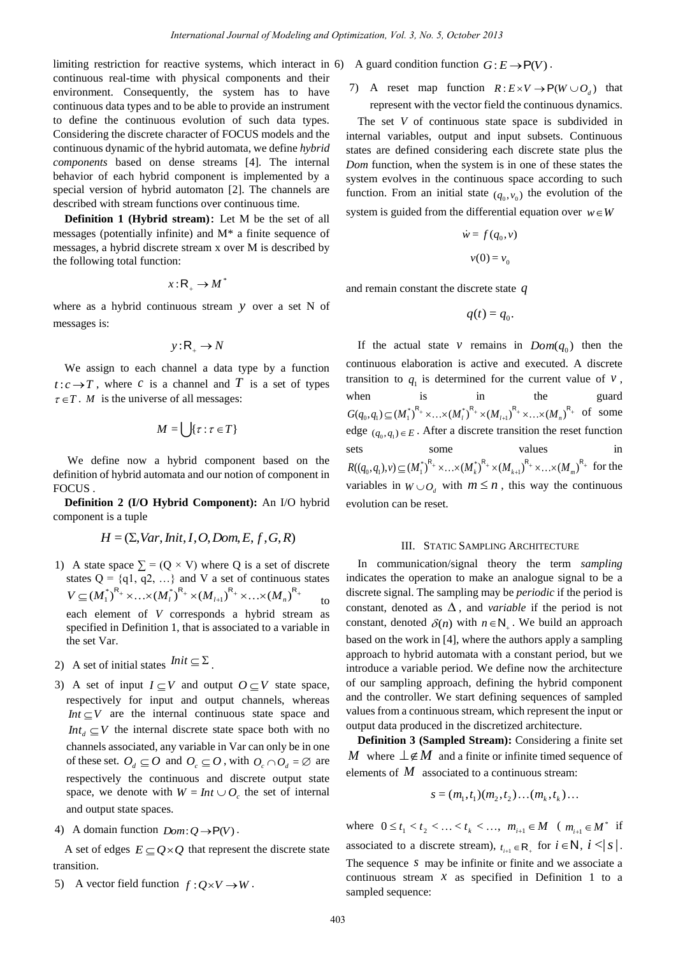limiting restriction for reactive systems, which interact in 6) A guard condition function  $G: E \to \mathsf{P}(V)$ . continuous real-time with physical components and their environment. Consequently, the system has to have continuous data types and to be able to provide an instrument to define the continuous evolution of such data types. Considering the discrete character of FOCUS models and the continuous dynamic of the hybrid automata, we define *hybrid components* based on dense streams [4]. The internal behavior of each hybrid component is implemented by a special version of hybrid automaton [2]. The channels are described with stream functions over continuous time.

**Definition 1 (Hybrid stream)**: Let M be the set of all messages (potentially infinite) and M\* a finite sequence of messages, a hybrid discrete stream x over M is described by the following total function:

$$
x:R_{+}\to M^{*}
$$

where as a hybrid continuous stream y over a set N of messages is:

$$
y: \mathsf{R}_{+} \to N
$$

We assign to each channel a data type by a function  $t: c \rightarrow T$ , where *c* is a channel and *T* is a set of types  $\tau \in T$ . *M* is the universe of all messages:

$$
M=\bigcup\{\tau:\tau\in T\}
$$

 We define now a hybrid component based on the definition of hybrid automata and our notion of component in FOCUS .

**Definition 2 (I/O Hybrid Component):** An I/O hybrid component is a tuple

$$
H = (\Sigma, Var,Init, I, O, Dom, E, f, G, R)
$$

- 1) A state space  $\Sigma = (Q \times V)$  where Q is a set of discrete states  $Q = \{q1, q2, ...\}$  and V a set of continuous states  $V \subseteq (M_1^*)^{R_+} \times ... \times (M_l^*)^{R_+} \times (M_{l+1})^{R_+} \times ... \times (M_n)^{R_n}$ to each element of *V* corresponds a hybrid stream as specified in Definition 1, that is associated to a variable in the set Var.
- 2) A set of initial states  $Init \subseteq \Sigma$ .
- 3) A set of input  $I \subseteq V$  and output  $O \subseteq V$  state space, respectively for input and output channels, whereas *Int*  $\subseteq$  *V* are the internal continuous state space and *Int<sub>d</sub>*  $\subseteq$  *V* the internal discrete state space both with no channels associated, any variable in Var can only be in one of these set.  $O_d \subseteq O$  and  $O_c \subseteq O$ , with  $O_c \cap O_d = \emptyset$  are respectively the continuous and discrete output state space, we denote with  $W = Int \cup O_c$  the set of internal and output state spaces.
- 4) A domain function  $Dom: Q \rightarrow P(V)$ .

A set of edges  $E \subseteq Q \times Q$  that represent the discrete state transition.

5) A vector field function  $f: Q \times V \to W$ .

7) A reset map function  $R: E \times V \to P(W \cup O_d)$  that represent with the vector field the continuous dynamics.

The set *V* of continuous state space is subdivided in internal variables, output and input subsets. Continuous states are defined considering each discrete state plus the *Dom* function, when the system is in one of these states the system evolves in the continuous space according to such function. From an initial state  $(q_0, v_0)$  the evolution of the system is guided from the differential equation over  $w \in W$ 

$$
\dot{w} = f(q_0, v)
$$

$$
v(0) = v_0
$$

and remain constant the discrete state *q*

$$
q(t)=q_0.
$$

If the actual state  $v$  remains in  $Dom(q_0)$  then the continuous elaboration is active and executed. A discrete transition to  $q_1$  is determined for the current value of  $v$ , when is in the guard  $G(q_0, q_1) \subseteq (M_1^*)^{\mathsf{R}_+} \times ... \times (M_l^*)^{\mathsf{R}_+} \times (M_{l+1})^{\mathsf{R}_+} \times ... \times (M_n^*)^{\mathsf{R}_+}$  of some edge  $(q_0, q_1) \in E$ . After a discrete transition the reset function sets some values in  $R((q_0, q_1), v) \subseteq (M_1^*)^R + \times ... \times (M_k^*)^R + \times (M_{k+1})^R + \times ... \times (M_m^*)^R +$  for the variables in  $W \cup O_d$  with  $m \leq n$ , this way the continuous evolution can be reset.

#### III. STATIC SAMPLING ARCHITECTURE

In communication/signal theory the term *sampling* indicates the operation to make an analogue signal to be a discrete signal. The sampling may be *periodic* if the period is constant, denoted as  $\Delta$ , and *variable* if the period is not constant, denoted  $\delta(n)$  with  $n \in \mathbb{N}_+$ . We build an approach based on the work in [4], where the authors apply a sampling approach to hybrid automata with a constant period, but we introduce a variable period. We define now the architecture of our sampling approach, defining the hybrid component and the controller. We start defining sequences of sampled values from a continuous stream, which represent the input or output data produced in the discretized architecture.

**Definition 3 (Sampled Stream):** Considering a finite set *M* where  $\perp \notin M$  and a finite or infinite timed sequence of elements of  $M$  associated to a continuous stream:

$$
s = (m_1, t_1)(m_2, t_2)...(m_k, t_k)...
$$

where  $0 \le t_1 < t_2 < \ldots < t_k < \ldots$ ,  $m_{i+1} \in M$  ( $m_{i+1} \in M^*$  if associated to a discrete stream),  $t_{i+1} \in \mathsf{R}_{+}$  for  $i \in \mathsf{N}$ ,  $i < |s|$ . The sequence  $s$  may be infinite or finite and we associate a continuous stream  $x$  as specified in Definition 1 to a sampled sequence: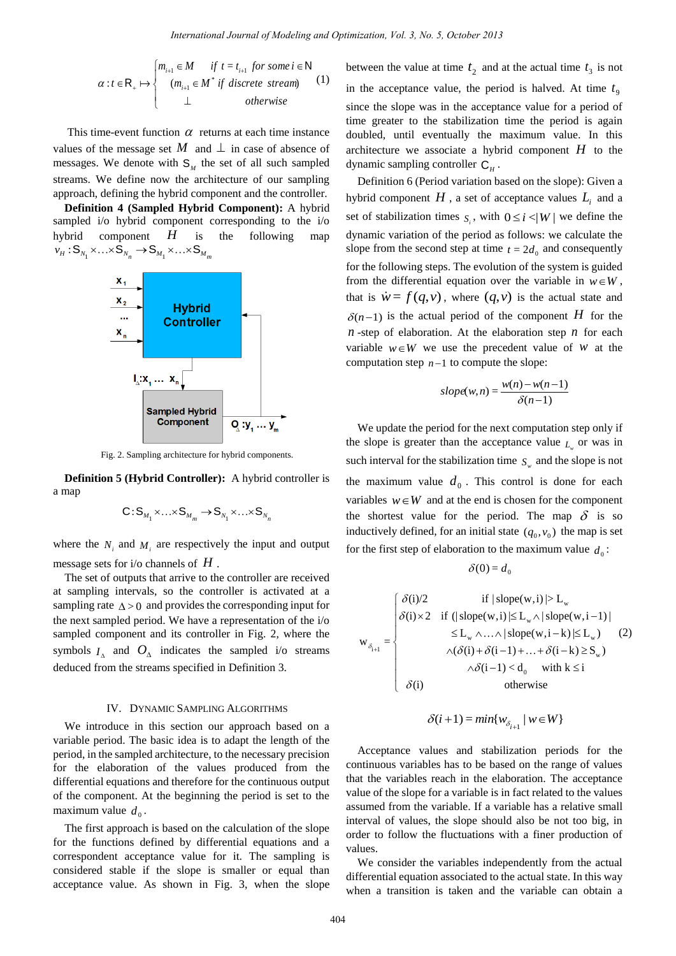$$
\alpha : t \in \mathsf{R}_{+} \mapsto \begin{cases} m_{i+1} \in M & \text{if } t = t_{i+1} \text{ for some } i \in \mathsf{N} \\ (m_{i+1} \in M^* \text{ if discrete stream}) \\ \perp & otherwise \end{cases} \tag{1}
$$

This time-event function  $\alpha$  returns at each time instance values of the message set M and  $\perp$  in case of absence of messages. We denote with  $S_M$  the set of all such sampled streams. We define now the architecture of our sampling approach, defining the hybrid component and the controller.

**Definition 4 (Sampled Hybrid Component):** A hybrid sampled i/o hybrid component corresponding to the i/o hybrid component *H* is the following map  $v_H: S_{N_1} \times ... \times S_{N_n} \rightarrow S_{M_1} \times ... \times S_{M_m}$ 



Fig. 2. Sampling architecture for hybrid components.

**Definition 5 (Hybrid Controller):** A hybrid controller is a map

$$
\mathsf{C}\!:\!\mathsf{S}_{M_1}\!\times\!\ldots\!\times\!\mathsf{S}_{M_m}\!\to\!\mathsf{S}_{N_1}\!\times\!\ldots\!\times\!\mathsf{S}_{N_n}
$$

where the  $N_i$  and  $M_i$  are respectively the input and output message sets for i/o channels of *H* .

The set of outputs that arrive to the controller are received at sampling intervals, so the controller is activated at a sampling rate  $\Delta > 0$  and provides the corresponding input for the next sampled period. We have a representation of the i/o sampled component and its controller in Fig. 2, where the symbols  $I_{\text{A}}$  and  $O_{\text{A}}$  indicates the sampled i/o streams deduced from the streams specified in Definition 3.

## IV. DYNAMIC SAMPLING ALGORITHMS

We introduce in this section our approach based on a variable period. The basic idea is to adapt the length of the period, in the sampled architecture, to the necessary precision for the elaboration of the values produced from the differential equations and therefore for the continuous output of the component. At the beginning the period is set to the maximum value  $d_0$ .

The first approach is based on the calculation of the slope for the functions defined by differential equations and a correspondent acceptance value for it. The sampling is considered stable if the slope is smaller or equal than acceptance value. As shown in Fig. 3, when the slope

between the value at time  $t_2$  and at the actual time  $t_3$  is not in the acceptance value, the period is halved. At time  $t<sub>9</sub>$ since the slope was in the acceptance value for a period of time greater to the stabilization time the period is again doubled, until eventually the maximum value. In this architecture we associate a hybrid component  $H$  to the dynamic sampling controller  $C_H$ .

Definition 6 (Period variation based on the slope): Given a hybrid component  $H$  , a set of acceptance values  $L_i$  and a set of stabilization times  $s_i$ , with  $0 \le i \le |W|$  we define the dynamic variation of the period as follows: we calculate the slope from the second step at time  $t = 2d_0$  and consequently for the following steps. The evolution of the system is guided from the differential equation over the variable in  $w \in W$ , that is  $\dot{w} = f(q, v)$ , where  $(q, v)$  is the actual state and  $\delta(n-1)$  is the actual period of the component H for the  $n$ -step of elaboration. At the elaboration step  $n$  for each variable  $w \in W$  we use the precedent value of *w* at the computation step  $n-1$  to compute the slope:

$$
slope(w,n) = \frac{w(n) - w(n-1)}{\delta(n-1)}
$$

We update the period for the next computation step only if the slope is greater than the acceptance value  $L_w$  or was in such interval for the stabilization time  $S_w$  and the slope is not the maximum value  $d_0$ . This control is done for each variables  $w \in W$  and at the end is chosen for the component the shortest value for the period. The map  $\delta$  is so inductively defined, for an initial state  $(q_0, v_0)$  the map is set for the first step of elaboration to the maximum value  $d_0$ :

$$
\delta(0) = d_0
$$

$$
w_{(i)} = \begin{cases} \n\delta(i)/2 & \text{if } |\text{slope}(w,i)| > L_w \\
\delta(i) \times 2 & \text{if } (|\text{slope}(w,i)| \le L_w \land |\text{slope}(w,i-1)|) \\
& \le L_w \land \dots \land |\text{slope}(w,i-k)| \le L_w \quad (2) \\
& \land (\delta(i) + \delta(i-1) + \dots + \delta(i-k) \ge S_w) \\
& \land \delta(i-1) < d_0 \quad \text{with } k \le i \\
& \delta(i) & \text{otherwise}\n\end{cases}
$$

$$
\delta(i+1) = min\{w_{\delta_{i+1}} \mid w \in W\}
$$

Acceptance values and stabilization periods for the continuous variables has to be based on the range of values that the variables reach in the elaboration. The acceptance value of the slope for a variable is in fact related to the values assumed from the variable. If a variable has a relative small interval of values, the slope should also be not too big, in order to follow the fluctuations with a finer production of values.

We consider the variables independently from the actual differential equation associated to the actual state. In this way when a transition is taken and the variable can obtain a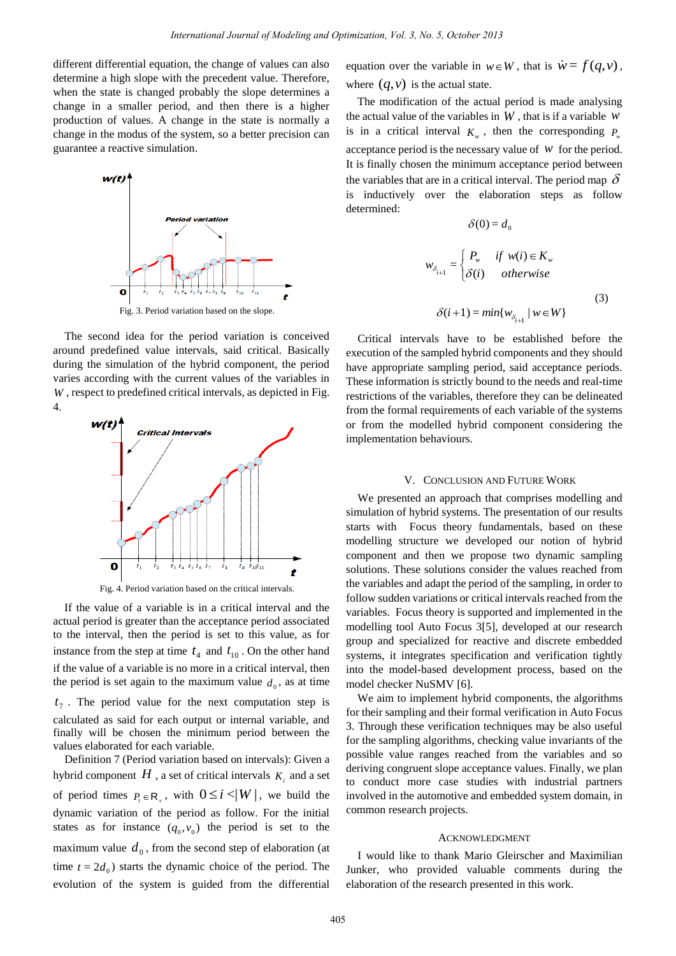different differential equation, the change of values can also determine a high slope with the precedent value. Therefore, when the state is changed probably the slope determines a change in a smaller period, and then there is a higher production of values. A change in the state is normally a change in the modus of the system, so a better precision can guarantee a reactive simulation.



The second idea for the period variation is conceived around predefined value intervals, said critical. Basically during the simulation of the hybrid component, the period varies according with the current values of the variables in *W* , respect to predefined critical intervals, as depicted in Fig. 4.



Fig. 4. Period variation based on the critical intervals.

If the value of a variable is in a critical interval and the actual period is greater than the acceptance period associated to the interval, then the period is set to this value, as for instance from the step at time  $t_4$  and  $t_{10}$ . On the other hand if the value of a variable is no more in a critical interval, then the period is set again to the maximum value  $d_0$ , as at time  $t_7$ . The period value for the next computation step is calculated as said for each output or internal variable, and finally will be chosen the minimum period between the values elaborated for each variable.

Definition 7 (Period variation based on intervals): Given a hybrid component  $H$  , a set of critical intervals  $K_i$  and a set of period times  $P_i \in \mathbb{R}_+$ , with  $0 \leq i \leq |W|$ , we build the dynamic variation of the period as follow. For the initial states as for instance  $(q_0, v_0)$  the period is set to the maximum value  $d_0$ , from the second step of elaboration (at time  $t = 2d_0$ ) starts the dynamic choice of the period. The evolution of the system is guided from the differential

equation over the variable in  $w \in W$ , that is  $\dot{w} = f(q, v)$ , where  $(q, v)$  is the actual state.

The modification of the actual period is made analysing the actual value of the variables in  $W$ , that is if a variable  $W$ is in a critical interval  $K_w$ , then the corresponding  $P_w$ acceptance period is the necessary value of *w* for the period. It is finally chosen the minimum acceptance period between the variables that are in a critical interval. The period map  $\delta$ is inductively over the elaboration steps as follow determined:

 $\delta(0) = d_0$ 

$$
w_{\delta_{i+1}} = \begin{cases} P_w & \text{if } w(i) \in K_w \\ \delta(i) & \text{otherwise} \end{cases}
$$
  

$$
\delta(i+1) = \min\{w_{\delta_{i+1}} \mid w \in W\}
$$
 (3)

Critical intervals have to be established before the execution of the sampled hybrid components and they should have appropriate sampling period, said acceptance periods. These information is strictly bound to the needs and real-time restrictions of the variables, therefore they can be delineated from the formal requirements of each variable of the systems or from the modelled hybrid component considering the implementation behaviours.

#### V. CONCLUSION AND FUTURE WORK

We presented an approach that comprises modelling and simulation of hybrid systems. The presentation of our results starts with Focus theory fundamentals, based on these modelling structure we developed our notion of hybrid component and then we propose two dynamic sampling solutions. These solutions consider the values reached from the variables and adapt the period of the sampling, in order to follow sudden variations or critical intervals reached from the variables. Focus theory is supported and implemented in the modelling tool Auto Focus 3[5], developed at our research group and specialized for reactive and discrete embedded systems, it integrates specification and verification tightly into the model-based development process, based on the model checker NuSMV [6].

We aim to implement hybrid components, the algorithms for their sampling and their formal verification in Auto Focus 3. Through these verification techniques may be also useful for the sampling algorithms, checking value invariants of the possible value ranges reached from the variables and so deriving congruent slope acceptance values. Finally, we plan to conduct more case studies with industrial partners involved in the automotive and embedded system domain, in common research projects.

## ACKNOWLEDGMENT

I would like to thank Mario Gleirscher and Maximilian Junker, who provided valuable comments during the elaboration of the research presented in this work.